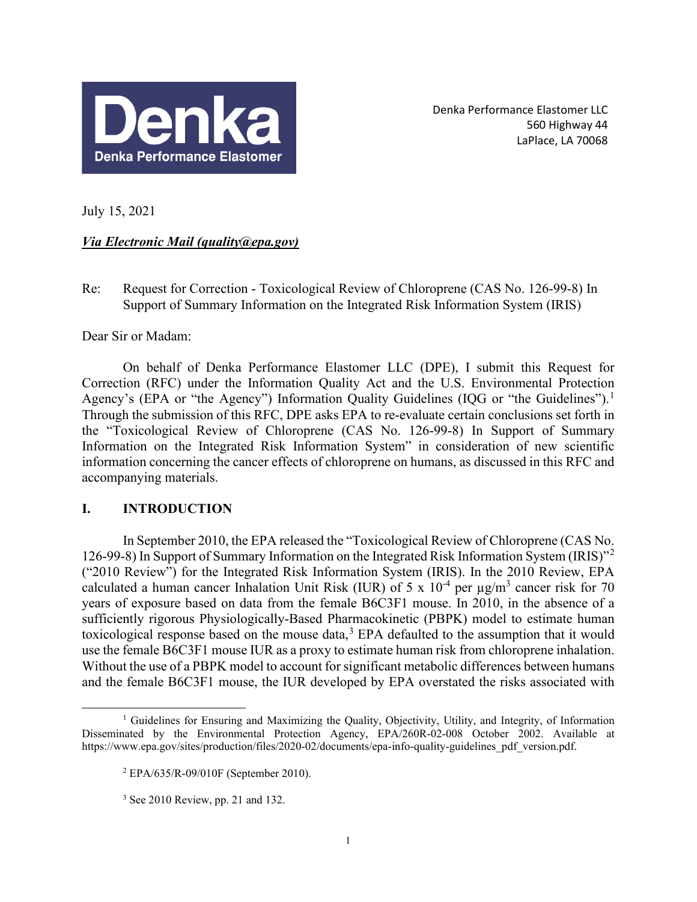

Denka Performance Elastomer LLC 560 Highway 44 LaPlace, LA 70068

July 15, 2021

# *Via Electronic Mail (quality@epa.gov)*

Re: Request for Correction - Toxicological Review of Chloroprene (CAS No. 126-99-8) In Support of Summary Information on the Integrated Risk Information System (IRIS)

Dear Sir or Madam:

On behalf of Denka Performance Elastomer LLC (DPE), I submit this Request for Correction (RFC) under the Information Quality Act and the U.S. Environmental Protection Agency's (EPA or "the Agency") Information Quality Guidelines (IQG or "the Guidelines").<sup>[1](#page-0-0)</sup> Through the submission of this RFC, DPE asks EPA to re-evaluate certain conclusions set forth in the "Toxicological Review of Chloroprene (CAS No. 126-99-8) In Support of Summary Information on the Integrated Risk Information System" in consideration of new scientific information concerning the cancer effects of chloroprene on humans, as discussed in this RFC and accompanying materials.

# **I. INTRODUCTION**

In September 2010, the EPA released the "Toxicological Review of Chloroprene (CAS No. 126-99-8) In Support of Summary Information on the Integrated Risk Information System (IRIS)"[2](#page-0-1) ("2010 Review") for the Integrated Risk Information System (IRIS). In the 2010 Review, EPA calculated a human cancer Inhalation Unit Risk (IUR) of 5 x  $10^{-4}$  per  $\mu$ g/m<sup>3</sup> cancer risk for 70 years of exposure based on data from the female B6C3F1 mouse. In 2010, in the absence of a sufficiently rigorous Physiologically-Based Pharmacokinetic (PBPK) model to estimate human toxicological response based on the mouse data,<sup>[3](#page-0-2)</sup> EPA defaulted to the assumption that it would use the female B6C3F1 mouse IUR as a proxy to estimate human risk from chloroprene inhalation. Without the use of a PBPK model to account for significant metabolic differences between humans and the female B6C3F1 mouse, the IUR developed by EPA overstated the risks associated with

<span id="page-0-2"></span><span id="page-0-1"></span><span id="page-0-0"></span><sup>&</sup>lt;sup>1</sup> Guidelines for Ensuring and Maximizing the Quality, Objectivity, Utility, and Integrity, of Information Disseminated by the Environmental Protection Agency, EPA/260R-02-008 October 2002. Available at https://www.epa.gov/sites/production/files/2020-02/documents/epa-info-quality-guidelines\_pdf\_version.pdf.

 $2$  EPA/635/R-09/010F (September 2010).

 $3$  See 2010 Review, pp. 21 and 132.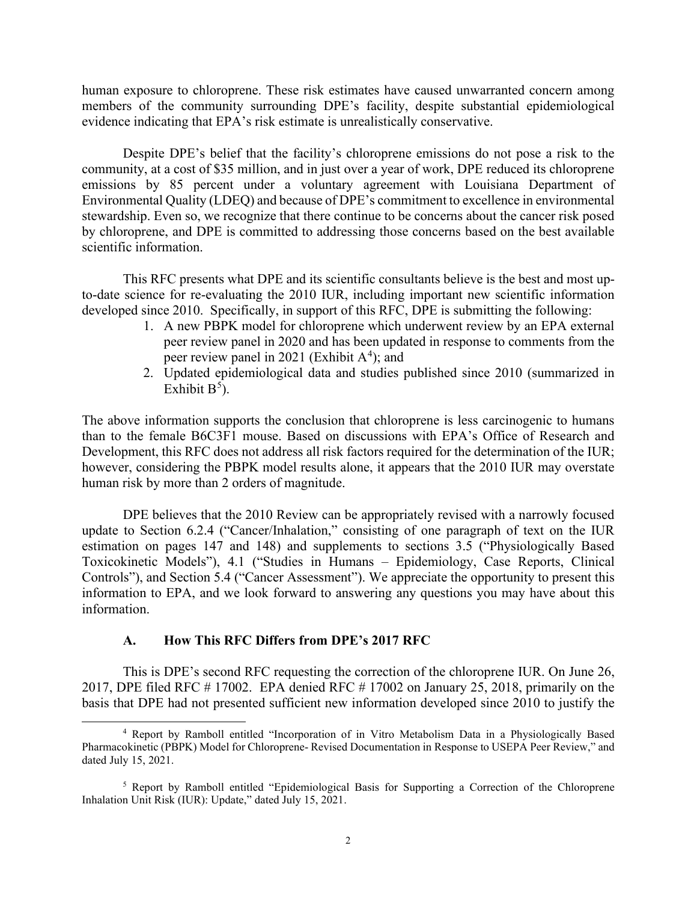human exposure to chloroprene. These risk estimates have caused unwarranted concern among members of the community surrounding DPE's facility, despite substantial epidemiological evidence indicating that EPA's risk estimate is unrealistically conservative.

Despite DPE's belief that the facility's chloroprene emissions do not pose a risk to the community, at a cost of \$35 million, and in just over a year of work, DPE reduced its chloroprene emissions by 85 percent under a voluntary agreement with Louisiana Department of Environmental Quality (LDEQ) and because of DPE's commitment to excellence in environmental stewardship. Even so, we recognize that there continue to be concerns about the cancer risk posed by chloroprene, and DPE is committed to addressing those concerns based on the best available scientific information.

This RFC presents what DPE and its scientific consultants believe is the best and most upto-date science for re-evaluating the 2010 IUR, including important new scientific information developed since 2010. Specifically, in support of this RFC, DPE is submitting the following:

- 1. A new PBPK model for chloroprene which underwent review by an EPA external peer review panel in 2020 and has been updated in response to comments from the peer review panel in 2021 (Exhibit  $A<sup>4</sup>$  $A<sup>4</sup>$  $A<sup>4</sup>$ ); and
- 2. Updated epidemiological data and studies published since 2010 (summarized in Exhibit  $B^5$  $B^5$ ).

The above information supports the conclusion that chloroprene is less carcinogenic to humans than to the female B6C3F1 mouse. Based on discussions with EPA's Office of Research and Development, this RFC does not address all risk factors required for the determination of the IUR; however, considering the PBPK model results alone, it appears that the 2010 IUR may overstate human risk by more than 2 orders of magnitude.

DPE believes that the 2010 Review can be appropriately revised with a narrowly focused update to Section 6.2.4 ("Cancer/Inhalation," consisting of one paragraph of text on the IUR estimation on pages 147 and 148) and supplements to sections 3.5 ("Physiologically Based Toxicokinetic Models"), 4.1 ("Studies in Humans – Epidemiology, Case Reports, Clinical Controls"), and Section 5.4 ("Cancer Assessment"). We appreciate the opportunity to present this information to EPA, and we look forward to answering any questions you may have about this information.

#### **A. How This RFC Differs from DPE's 2017 RFC**

This is DPE's second RFC requesting the correction of the chloroprene IUR. On June 26, 2017, DPE filed RFC # 17002. EPA denied RFC # 17002 on January 25, 2018, primarily on the basis that DPE had not presented sufficient new information developed since 2010 to justify the

<span id="page-1-0"></span><sup>4</sup> Report by Ramboll entitled "Incorporation of in Vitro Metabolism Data in a Physiologically Based Pharmacokinetic (PBPK) Model for Chloroprene- Revised Documentation in Response to USEPA Peer Review," and dated July 15, 2021.

<span id="page-1-1"></span><sup>&</sup>lt;sup>5</sup> Report by Ramboll entitled "Epidemiological Basis for Supporting a Correction of the Chloroprene Inhalation Unit Risk (IUR): Update," dated July 15, 2021.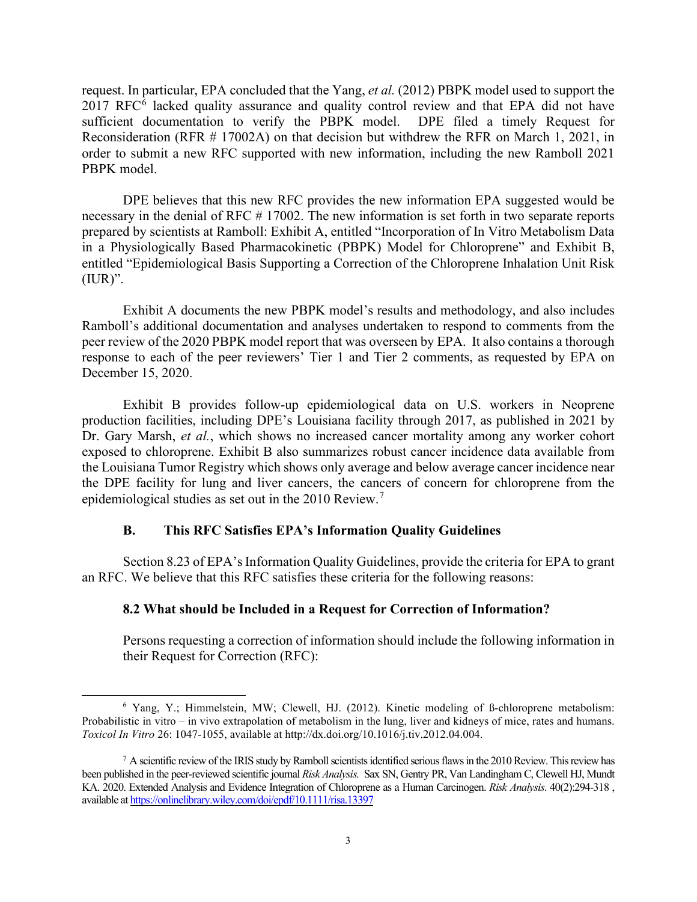request. In particular, EPA concluded that the Yang, *et al.* (2012) PBPK model used to support the  $2017$  RFC $<sup>6</sup>$  $<sup>6</sup>$  $<sup>6</sup>$  lacked quality assurance and quality control review and that EPA did not have</sup> sufficient documentation to verify the PBPK model. DPE filed a timely Request for Reconsideration (RFR # 17002A) on that decision but withdrew the RFR on March 1, 2021, in order to submit a new RFC supported with new information, including the new Ramboll 2021 PBPK model.

DPE believes that this new RFC provides the new information EPA suggested would be necessary in the denial of RFC # 17002. The new information is set forth in two separate reports prepared by scientists at Ramboll: Exhibit A, entitled "Incorporation of In Vitro Metabolism Data in a Physiologically Based Pharmacokinetic (PBPK) Model for Chloroprene" and Exhibit B, entitled "Epidemiological Basis Supporting a Correction of the Chloroprene Inhalation Unit Risk  $(IUR)$ ".

Exhibit A documents the new PBPK model's results and methodology, and also includes Ramboll's additional documentation and analyses undertaken to respond to comments from the peer review of the 2020 PBPK model report that was overseen by EPA. It also contains a thorough response to each of the peer reviewers' Tier 1 and Tier 2 comments, as requested by EPA on December 15, 2020.

Exhibit B provides follow-up epidemiological data on U.S. workers in Neoprene production facilities, including DPE's Louisiana facility through 2017, as published in 2021 by Dr. Gary Marsh, *et al.*, which shows no increased cancer mortality among any worker cohort exposed to chloroprene. Exhibit B also summarizes robust cancer incidence data available from the Louisiana Tumor Registry which shows only average and below average cancer incidence near the DPE facility for lung and liver cancers, the cancers of concern for chloroprene from the epidemiological studies as set out in the 2010 Review.<sup>[7](#page-2-1)</sup>

## **B. This RFC Satisfies EPA's Information Quality Guidelines**

Section 8.23 of EPA's Information Quality Guidelines, provide the criteria for EPA to grant an RFC. We believe that this RFC satisfies these criteria for the following reasons:

## **8.2 What should be Included in a Request for Correction of Information?**

Persons requesting a correction of information should include the following information in their Request for Correction (RFC):

<span id="page-2-0"></span><sup>6</sup> Yang, Y.; Himmelstein, MW; Clewell, HJ. (2012). Kinetic modeling of ß-chloroprene metabolism: Probabilistic in vitro – in vivo extrapolation of metabolism in the lung, liver and kidneys of mice, rates and humans. *Toxicol In Vitro* 26: 1047-1055, available at http://dx.doi.org/10.1016/j.tiv.2012.04.004.

<span id="page-2-1"></span> $^7$  A scientific review of the IRIS study by Ramboll scientists identified serious flaws in the 2010 Review. This review has been published in the peer-reviewed scientific journal *Risk Analysis.* Sax SN, Gentry PR, Van Landingham C, Clewell HJ, Mundt KA. 2020. Extended Analysis and Evidence Integration of Chloroprene as a Human Carcinogen. *Risk Analysis*. 40(2):294-318 , available at https://onlinelibrary.wiley.com/doi/epdf/10.1111/risa.13397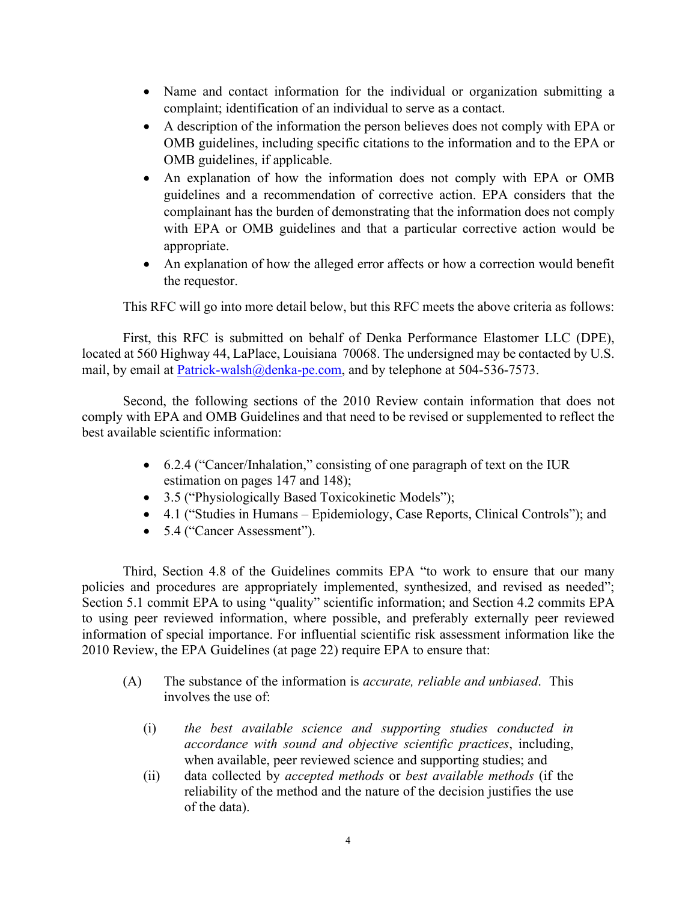- Name and contact information for the individual or organization submitting a complaint; identification of an individual to serve as a contact.
- A description of the information the person believes does not comply with EPA or OMB guidelines, including specific citations to the information and to the EPA or OMB guidelines, if applicable.
- An explanation of how the information does not comply with EPA or OMB guidelines and a recommendation of corrective action. EPA considers that the complainant has the burden of demonstrating that the information does not comply with EPA or OMB guidelines and that a particular corrective action would be appropriate.
- An explanation of how the alleged error affects or how a correction would benefit the requestor.

This RFC will go into more detail below, but this RFC meets the above criteria as follows:

First, this RFC is submitted on behalf of Denka Performance Elastomer LLC (DPE), located at 560 Highway 44, LaPlace, Louisiana 70068. The undersigned may be contacted by U.S. mail, by email at [Patrick-walsh@denka-pe.com,](mailto:Patrick-walsh@denka-pe.com) and by telephone at 504-536-7573.

Second, the following sections of the 2010 Review contain information that does not comply with EPA and OMB Guidelines and that need to be revised or supplemented to reflect the best available scientific information:

- 6.2.4 ("Cancer/Inhalation," consisting of one paragraph of text on the IUR estimation on pages 147 and 148);
- 3.5 ("Physiologically Based Toxicokinetic Models");
- 4.1 ("Studies in Humans Epidemiology, Case Reports, Clinical Controls"); and
- 5.4 ("Cancer Assessment").

Third, Section 4.8 of the Guidelines commits EPA "to work to ensure that our many policies and procedures are appropriately implemented, synthesized, and revised as needed"; Section 5.1 commit EPA to using "quality" scientific information; and Section 4.2 commits EPA to using peer reviewed information, where possible, and preferably externally peer reviewed information of special importance. For influential scientific risk assessment information like the 2010 Review, the EPA Guidelines (at page 22) require EPA to ensure that:

- (A) The substance of the information is *accurate, reliable and unbiased*. This involves the use of:
	- (i) *the best available science and supporting studies conducted in accordance with sound and objective scientific practices*, including, when available, peer reviewed science and supporting studies; and
	- (ii) data collected by *accepted methods* or *best available methods* (if the reliability of the method and the nature of the decision justifies the use of the data).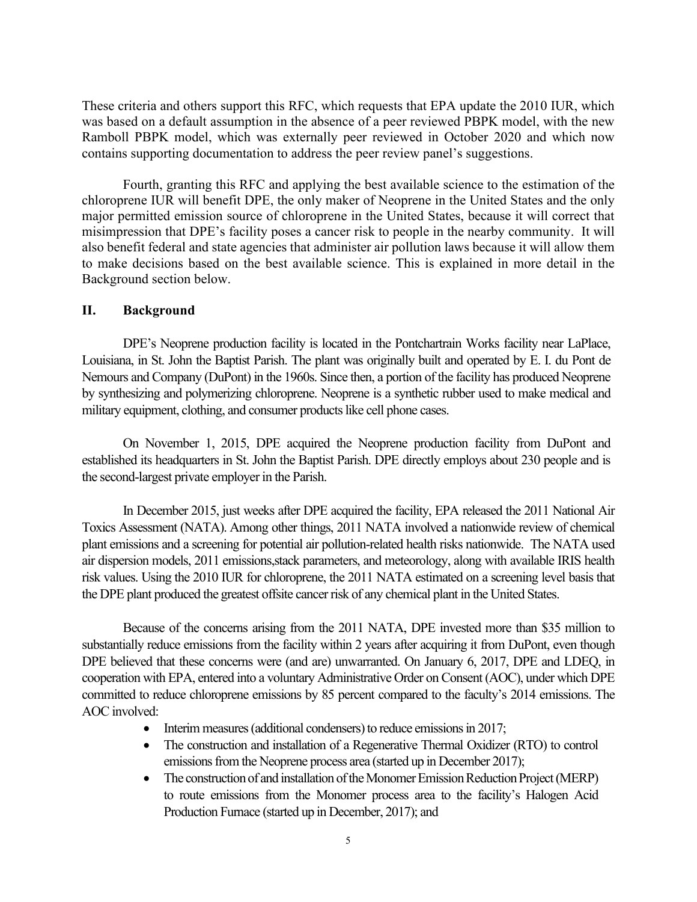These criteria and others support this RFC, which requests that EPA update the 2010 IUR, which was based on a default assumption in the absence of a peer reviewed PBPK model, with the new Ramboll PBPK model, which was externally peer reviewed in October 2020 and which now contains supporting documentation to address the peer review panel's suggestions.

Fourth, granting this RFC and applying the best available science to the estimation of the chloroprene IUR will benefit DPE, the only maker of Neoprene in the United States and the only major permitted emission source of chloroprene in the United States, because it will correct that misimpression that DPE's facility poses a cancer risk to people in the nearby community. It will also benefit federal and state agencies that administer air pollution laws because it will allow them to make decisions based on the best available science. This is explained in more detail in the Background section below.

## **II. Background**

DPE's Neoprene production facility is located in the Pontchartrain Works facility near LaPlace, Louisiana, in St. John the Baptist Parish. The plant was originally built and operated by E. I. du Pont de Nemours and Company (DuPont) in the 1960s. Since then, a portion of the facility has produced Neoprene by synthesizing and polymerizing chloroprene. Neoprene is a synthetic rubber used to make medical and military equipment, clothing, and consumer products like cell phone cases.

On November 1, 2015, DPE acquired the Neoprene production facility from DuPont and established its headquarters in St. John the Baptist Parish. DPE directly employs about 230 people and is the second-largest private employer in the Parish.

In December 2015, just weeks after DPE acquired the facility, EPA released the 2011 National Air Toxics Assessment (NATA). Among other things, 2011 NATA involved a nationwide review of chemical plant emissions and a screening for potential air pollution-related health risks nationwide. The NATA used air dispersion models, 2011 emissions,stack parameters, and meteorology, along with available IRIS health risk values. Using the 2010 IUR for chloroprene, the 2011 NATA estimated on a screening level basis that the DPE plant produced the greatest offsite cancer risk of any chemical plant in the United States.

Because of the concerns arising from the 2011 NATA, DPE invested more than \$35 million to substantially reduce emissions from the facility within 2 years after acquiring it from DuPont, even though DPE believed that these concerns were (and are) unwarranted. On January 6, 2017, DPE and LDEQ, in cooperation with EPA, entered into a voluntary Administrative Order on Consent (AOC), under which DPE committed to reduce chloroprene emissions by 85 percent compared to the faculty's 2014 emissions. The AOC involved:

- Interim measures (additional condensers) to reduce emissions in 2017;
- The construction and installation of a Regenerative Thermal Oxidizer (RTO) to control emissions from the Neoprene process area (started up in December 2017);
- The construction of and installation of the Monomer Emission Reduction Project (MERP) to route emissions from the Monomer process area to the facility's Halogen Acid Production Furnace (started up in December, 2017); and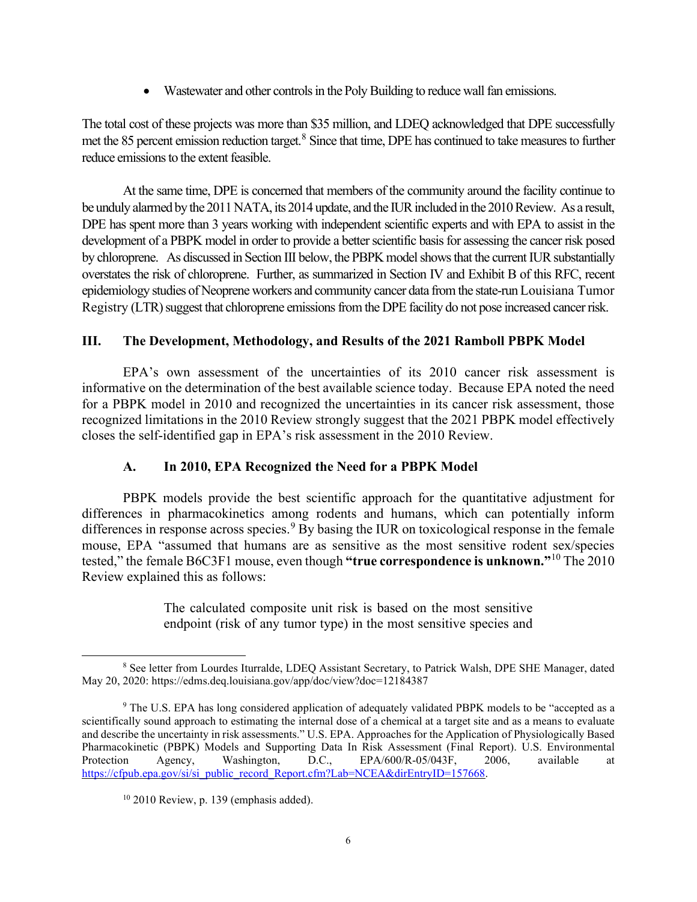• Wastewater and other controls in the Poly Building to reduce wall fan emissions.

The total cost of these projects was more than \$35 million, and LDEQ acknowledged that DPE successfully met the [8](#page-5-0)5 percent emission reduction target.<sup>8</sup> Since that time, DPE has continued to take measures to further reduce emissions to the extent feasible.

At the same time, DPE is concerned that members of the community around the facility continue to be unduly alarmed by the 2011 NATA, its 2014 update, and the IUR included in the 2010 Review. As a result, DPE has spent more than 3 years working with independent scientific experts and with EPA to assist in the development of a PBPK model in order to provide a better scientific basis for assessing the cancer risk posed by chloroprene. As discussed in Section III below, the PBPK model shows that the current IUR substantially overstates the risk of chloroprene. Further, as summarized in Section IV and Exhibit B of this RFC, recent epidemiology studies of Neoprene workers and community cancer data from the state-run Louisiana Tumor Registry (LTR) suggest that chloroprene emissions from the DPE facility do not pose increased cancer risk.

## **III. The Development, Methodology, and Results of the 2021 Ramboll PBPK Model**

EPA's own assessment of the uncertainties of its 2010 cancer risk assessment is informative on the determination of the best available science today. Because EPA noted the need for a PBPK model in 2010 and recognized the uncertainties in its cancer risk assessment, those recognized limitations in the 2010 Review strongly suggest that the 2021 PBPK model effectively closes the self-identified gap in EPA's risk assessment in the 2010 Review.

# **A. In 2010, EPA Recognized the Need for a PBPK Model**

PBPK models provide the best scientific approach for the quantitative adjustment for differences in pharmacokinetics among rodents and humans, which can potentially inform differences in response across species.<sup>[9](#page-5-1)</sup> By basing the IUR on toxicological response in the female mouse, EPA "assumed that humans are as sensitive as the most sensitive rodent sex/species tested," the female B6C3F1 mouse, even though **"true correspondence is unknown."**[10](#page-5-2) The 2010 Review explained this as follows:

> The calculated composite unit risk is based on the most sensitive endpoint (risk of any tumor type) in the most sensitive species and

<span id="page-5-0"></span><sup>8</sup> See letter from Lourdes Iturralde, LDEQ Assistant Secretary, to Patrick Walsh, DPE SHE Manager, dated May 20, 2020: https://edms.deq.louisiana.gov/app/doc/view?doc=12184387

<span id="page-5-1"></span><sup>&</sup>lt;sup>9</sup> The U.S. EPA has long considered application of adequately validated PBPK models to be "accepted as a scientifically sound approach to estimating the internal dose of a chemical at a target site and as a means to evaluate and describe the uncertainty in risk assessments." U.S. EPA. Approaches for the Application of Physiologically Based Pharmacokinetic (PBPK) Models and Supporting Data In Risk Assessment (Final Report). U.S. Environmental Protection Agency, Washington, D.C., EPA/600/R-05/043F, 2006, available at https://cfpub.epa.gov/si/si\_public\_record\_Report.cfm?Lab=NCEA&dirEntryID=157668.

<span id="page-5-2"></span> $10$  2010 Review, p. 139 (emphasis added).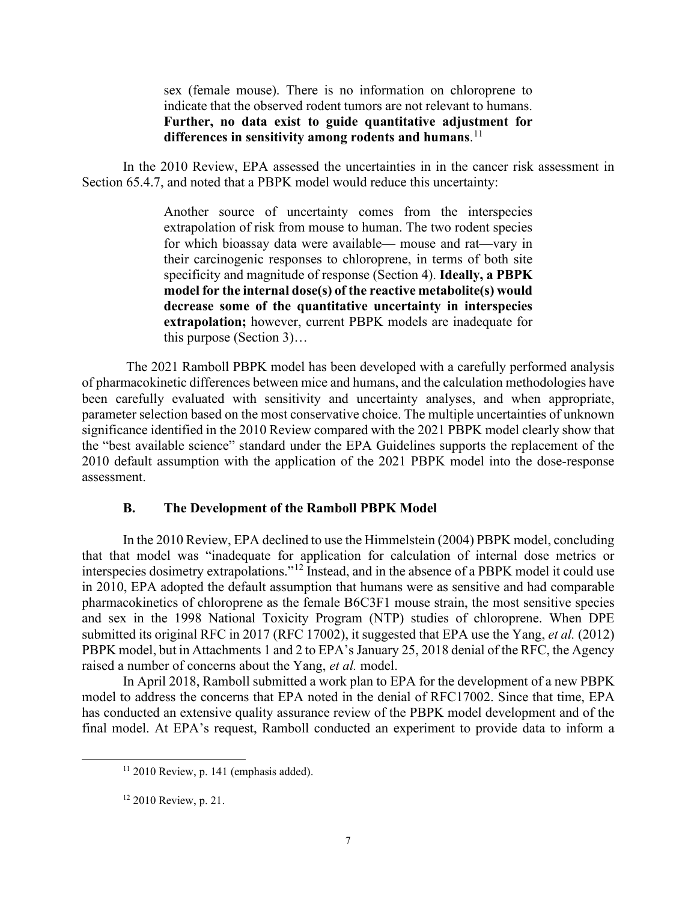sex (female mouse). There is no information on chloroprene to indicate that the observed rodent tumors are not relevant to humans. **Further, no data exist to guide quantitative adjustment for differences in sensitivity among rodents and humans**. [11](#page-6-0)

In the 2010 Review, EPA assessed the uncertainties in in the cancer risk assessment in Section 65.4.7, and noted that a PBPK model would reduce this uncertainty:

> Another source of uncertainty comes from the interspecies extrapolation of risk from mouse to human. The two rodent species for which bioassay data were available— mouse and rat—vary in their carcinogenic responses to chloroprene, in terms of both site specificity and magnitude of response (Section 4). **Ideally, a PBPK model for the internal dose(s) of the reactive metabolite(s) would decrease some of the quantitative uncertainty in interspecies extrapolation;** however, current PBPK models are inadequate for this purpose (Section 3)…

The 2021 Ramboll PBPK model has been developed with a carefully performed analysis of pharmacokinetic differences between mice and humans, and the calculation methodologies have been carefully evaluated with sensitivity and uncertainty analyses, and when appropriate, parameter selection based on the most conservative choice. The multiple uncertainties of unknown significance identified in the 2010 Review compared with the 2021 PBPK model clearly show that the "best available science" standard under the EPA Guidelines supports the replacement of the 2010 default assumption with the application of the 2021 PBPK model into the dose-response assessment.

#### **B. The Development of the Ramboll PBPK Model**

In the 2010 Review, EPA declined to use the Himmelstein (2004) PBPK model, concluding that that model was "inadequate for application for calculation of internal dose metrics or interspecies dosimetry extrapolations."[12](#page-6-1) Instead, and in the absence of a PBPK model it could use in 2010, EPA adopted the default assumption that humans were as sensitive and had comparable pharmacokinetics of chloroprene as the female B6C3F1 mouse strain, the most sensitive species and sex in the 1998 National Toxicity Program (NTP) studies of chloroprene. When DPE submitted its original RFC in 2017 (RFC 17002), it suggested that EPA use the Yang, *et al.* (2012) PBPK model, but in Attachments 1 and 2 to EPA's January 25, 2018 denial of the RFC, the Agency raised a number of concerns about the Yang, *et al.* model.

<span id="page-6-0"></span>In April 2018, Ramboll submitted a work plan to EPA for the development of a new PBPK model to address the concerns that EPA noted in the denial of RFC17002. Since that time, EPA has conducted an extensive quality assurance review of the PBPK model development and of the final model. At EPA's request, Ramboll conducted an experiment to provide data to inform a

 $11$  2010 Review, p. 141 (emphasis added).

<span id="page-6-1"></span> $12$  2010 Review, p. 21.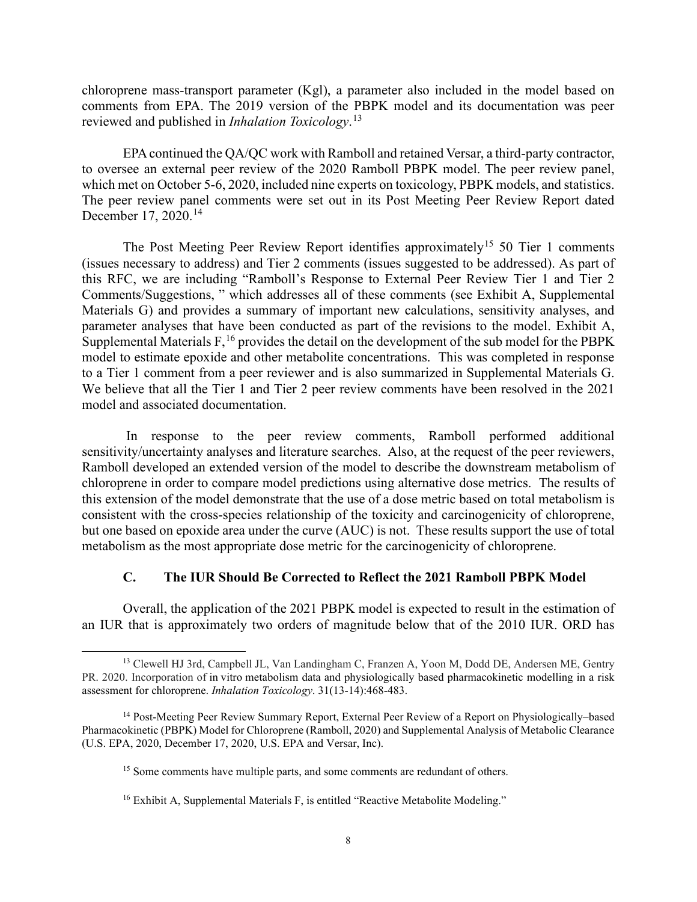chloroprene mass-transport parameter (Kgl), a parameter also included in the model based on comments from EPA. The 2019 version of the PBPK model and its documentation was peer reviewed and published in *Inhalation Toxicology*. [13](#page-7-0)

EPA continued the QA/QC work with Ramboll and retained Versar, a third-party contractor, to oversee an external peer review of the 2020 Ramboll PBPK model. The peer review panel, which met on October 5-6, 2020, included nine experts on toxicology, PBPK models, and statistics. The peer review panel comments were set out in its Post Meeting Peer Review Report dated December 17, 2020.[14](#page-7-1)

The Post Meeting Peer Review Report identifies approximately<sup>[15](#page-7-2)</sup> 50 Tier 1 comments (issues necessary to address) and Tier 2 comments (issues suggested to be addressed). As part of this RFC, we are including "Ramboll's Response to External Peer Review Tier 1 and Tier 2 Comments/Suggestions, " which addresses all of these comments (see Exhibit A, Supplemental Materials G) and provides a summary of important new calculations, sensitivity analyses, and parameter analyses that have been conducted as part of the revisions to the model. Exhibit A, Supplemental Materials  $F<sub>16</sub>$  $F<sub>16</sub>$  $F<sub>16</sub>$  provides the detail on the development of the sub model for the PBPK model to estimate epoxide and other metabolite concentrations. This was completed in response to a Tier 1 comment from a peer reviewer and is also summarized in Supplemental Materials G. We believe that all the Tier 1 and Tier 2 peer review comments have been resolved in the 2021 model and associated documentation.

In response to the peer review comments, Ramboll performed additional sensitivity/uncertainty analyses and literature searches. Also, at the request of the peer reviewers, Ramboll developed an extended version of the model to describe the downstream metabolism of chloroprene in order to compare model predictions using alternative dose metrics. The results of this extension of the model demonstrate that the use of a dose metric based on total metabolism is consistent with the cross-species relationship of the toxicity and carcinogenicity of chloroprene, but one based on epoxide area under the curve (AUC) is not. These results support the use of total metabolism as the most appropriate dose metric for the carcinogenicity of chloroprene.

### **C. The IUR Should Be Corrected to Reflect the 2021 Ramboll PBPK Model**

Overall, the application of the 2021 PBPK model is expected to result in the estimation of an IUR that is approximately two orders of magnitude below that of the 2010 IUR. ORD has

<span id="page-7-0"></span><sup>13</sup> Clewell HJ 3rd, Campbell JL, Van Landingham C, Franzen A, Yoon M, Dodd DE, Andersen ME, Gentry PR. 2020. Incorporation of in vitro metabolism data and physiologically based pharmacokinetic modelling in a risk assessment for chloroprene. *Inhalation Toxicology*. 31(13-14):468-483.

<span id="page-7-3"></span><span id="page-7-2"></span><span id="page-7-1"></span><sup>&</sup>lt;sup>14</sup> Post-Meeting Peer Review Summary Report, External Peer Review of a Report on Physiologically–based Pharmacokinetic (PBPK) Model for Chloroprene (Ramboll, 2020) and Supplemental Analysis of Metabolic Clearance (U.S. EPA, 2020, December 17, 2020, U.S. EPA and Versar, Inc).

<sup>&</sup>lt;sup>15</sup> Some comments have multiple parts, and some comments are redundant of others.

<sup>&</sup>lt;sup>16</sup> Exhibit A, Supplemental Materials F, is entitled "Reactive Metabolite Modeling."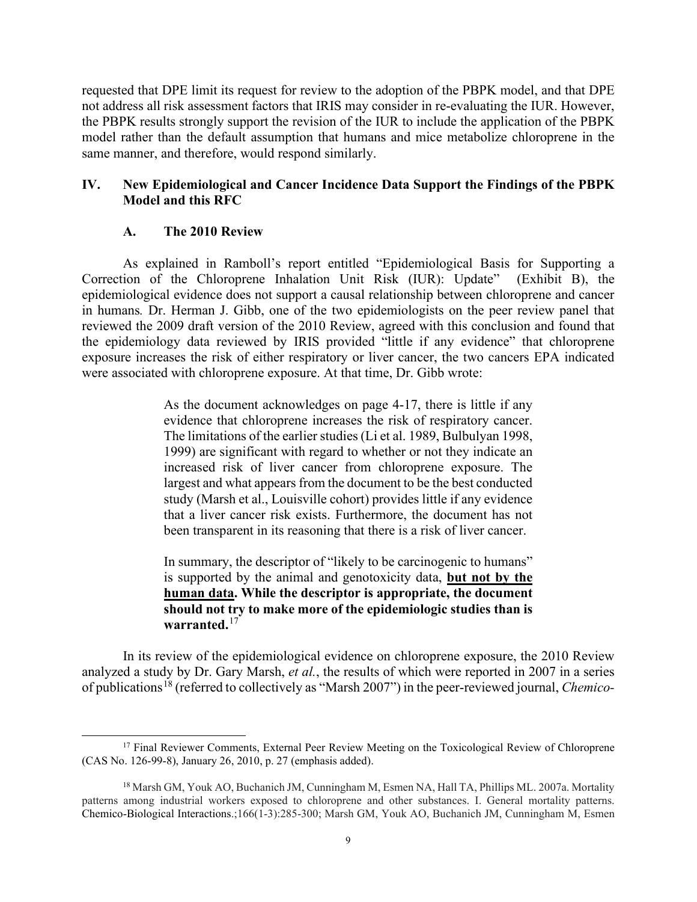requested that DPE limit its request for review to the adoption of the PBPK model, and that DPE not address all risk assessment factors that IRIS may consider in re-evaluating the IUR. However, the PBPK results strongly support the revision of the IUR to include the application of the PBPK model rather than the default assumption that humans and mice metabolize chloroprene in the same manner, and therefore, would respond similarly.

## **IV. New Epidemiological and Cancer Incidence Data Support the Findings of the PBPK Model and this RFC**

### **A. The 2010 Review**

As explained in Ramboll's report entitled "Epidemiological Basis for Supporting a Correction of the Chloroprene Inhalation Unit Risk (IUR): Update" (Exhibit B), the epidemiological evidence does not support a causal relationship between chloroprene and cancer in humans*.* Dr. Herman J. Gibb, one of the two epidemiologists on the peer review panel that reviewed the 2009 draft version of the 2010 Review, agreed with this conclusion and found that the epidemiology data reviewed by IRIS provided "little if any evidence" that chloroprene exposure increases the risk of either respiratory or liver cancer, the two cancers EPA indicated were associated with chloroprene exposure. At that time, Dr. Gibb wrote:

> As the document acknowledges on page 4-17, there is little if any evidence that chloroprene increases the risk of respiratory cancer. The limitations of the earlier studies (Li et al. 1989, Bulbulyan 1998, 1999) are significant with regard to whether or not they indicate an increased risk of liver cancer from chloroprene exposure. The largest and what appears from the document to be the best conducted study (Marsh et al., Louisville cohort) provides little if any evidence that a liver cancer risk exists. Furthermore, the document has not been transparent in its reasoning that there is a risk of liver cancer.

> In summary, the descriptor of "likely to be carcinogenic to humans" is supported by the animal and genotoxicity data, **but not by the human data. While the descriptor is appropriate, the document should not try to make more of the epidemiologic studies than is warranted.**[17](#page-8-0)

In its review of the epidemiological evidence on chloroprene exposure, the 2010 Review analyzed a study by Dr. Gary Marsh, *et al.*, the results of which were reported in 2007 in a series of publications[18](#page-8-1) (referred to collectively as "Marsh 2007") in the peer-reviewed journal, *Chemico-*

<span id="page-8-0"></span><sup>&</sup>lt;sup>17</sup> Final Reviewer Comments, External Peer Review Meeting on the Toxicological Review of Chloroprene (CAS No. 126-99-8), January 26, 2010, p. 27 (emphasis added).

<span id="page-8-1"></span><sup>18</sup> Marsh GM, Youk AO, Buchanich JM, Cunningham M, Esmen NA, Hall TA, Phillips ML. 2007a. Mortality patterns among industrial workers exposed to chloroprene and other substances. I. General mortality patterns. Chemico-Biological Interactions.;166(1-3):285-300; Marsh GM, Youk AO, Buchanich JM, Cunningham M, Esmen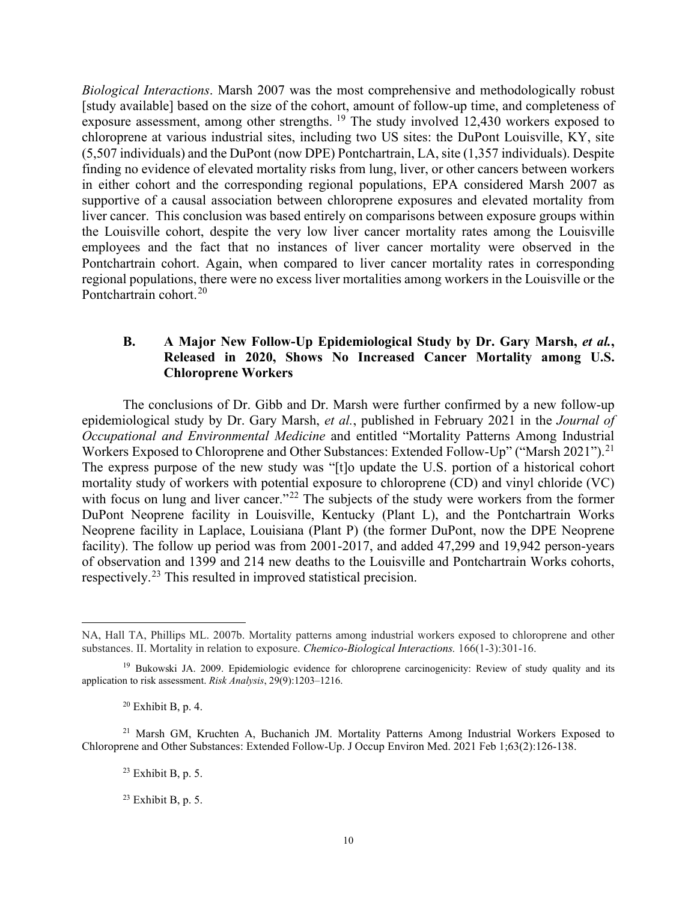*Biological Interactions*. Marsh 2007 was the most comprehensive and methodologically robust [study available] based on the size of the cohort, amount of follow-up time, and completeness of exposure assessment, among other strengths.  $19$  The study involved 12,430 workers exposed to chloroprene at various industrial sites, including two US sites: the DuPont Louisville, KY, site (5,507 individuals) and the DuPont (now DPE) Pontchartrain, LA, site (1,357 individuals). Despite finding no evidence of elevated mortality risks from lung, liver, or other cancers between workers in either cohort and the corresponding regional populations, EPA considered Marsh 2007 as supportive of a causal association between chloroprene exposures and elevated mortality from liver cancer. This conclusion was based entirely on comparisons between exposure groups within the Louisville cohort, despite the very low liver cancer mortality rates among the Louisville employees and the fact that no instances of liver cancer mortality were observed in the Pontchartrain cohort. Again, when compared to liver cancer mortality rates in corresponding regional populations, there were no excess liver mortalities among workers in the Louisville or the Pontchartrain cohort.<sup>[20](#page-9-1)</sup>

## **B.** A Major New Follow-Up Epidemiological Study by Dr. Gary Marsh, *et al.*, **Released in 2020, Shows No Increased Cancer Mortality among U.S. Chloroprene Workers**

The conclusions of Dr. Gibb and Dr. Marsh were further confirmed by a new follow-up epidemiological study by Dr. Gary Marsh, *et al.*, published in February 2021 in the *Journal of Occupational and Environmental Medicine* and entitled "Mortality Patterns Among Industrial Workers Exposed to Chloroprene and Other Substances: Extended Follow-Up" ("Marsh 20[21](#page-9-2)").<sup>21</sup> The express purpose of the new study was "[t]o update the U.S. portion of a historical cohort mortality study of workers with potential exposure to chloroprene (CD) and vinyl chloride (VC) with focus on lung and liver cancer."<sup>[22](#page-9-3)</sup> The subjects of the study were workers from the former DuPont Neoprene facility in Louisville, Kentucky (Plant L), and the Pontchartrain Works Neoprene facility in Laplace, Louisiana (Plant P) (the former DuPont, now the DPE Neoprene facility). The follow up period was from 2001-2017, and added 47,299 and 19,942 person-years of observation and 1399 and 214 new deaths to the Louisville and Pontchartrain Works cohorts, respectively.<sup>[23](#page-9-4)</sup> This resulted in improved statistical precision.

 $23$  Exhibit B, p. 5.

NA, Hall TA, Phillips ML. 2007b. Mortality patterns among industrial workers exposed to chloroprene and other substances. II. Mortality in relation to exposure. *Chemico-Biological Interactions.* 166(1-3):301-16.

<span id="page-9-0"></span><sup>&</sup>lt;sup>19</sup> Bukowski JA. 2009. Epidemiologic evidence for chloroprene carcinogenicity: Review of study quality and its application to risk assessment. *Risk Analysis*, 29(9):1203–1216.

 $20$  Exhibit B, p, 4.

<span id="page-9-4"></span><span id="page-9-3"></span><span id="page-9-2"></span><span id="page-9-1"></span><sup>&</sup>lt;sup>21</sup> Marsh GM, Kruchten A, Buchanich JM. Mortality Patterns Among Industrial Workers Exposed to Chloroprene and Other Substances: Extended Follow-Up. J Occup Environ Med. 2021 Feb 1;63(2):126-138.

 $23$  Exhibit B, p, 5.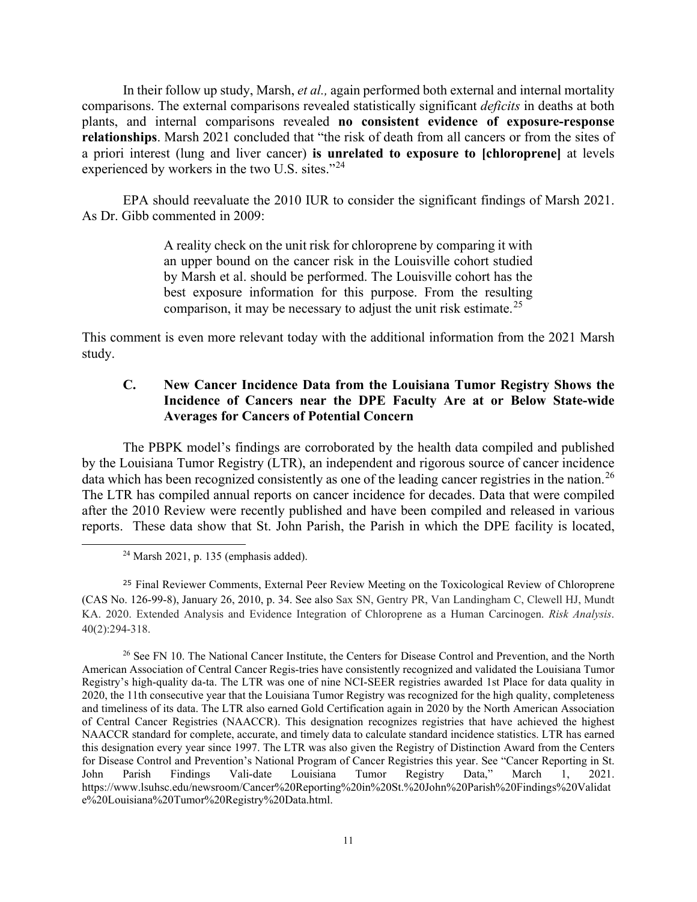In their follow up study, Marsh, *et al.,* again performed both external and internal mortality comparisons. The external comparisons revealed statistically significant *deficits* in deaths at both plants, and internal comparisons revealed **no consistent evidence of exposure-response relationships**. Marsh 2021 concluded that "the risk of death from all cancers or from the sites of a priori interest (lung and liver cancer) **is unrelated to exposure to [chloroprene]** at levels experienced by workers in the two U.S. sites."<sup>[24](#page-10-0)</sup>

EPA should reevaluate the 2010 IUR to consider the significant findings of Marsh 2021. As Dr. Gibb commented in 2009:

> A reality check on the unit risk for chloroprene by comparing it with an upper bound on the cancer risk in the Louisville cohort studied by Marsh et al. should be performed. The Louisville cohort has the best exposure information for this purpose. From the resulting comparison, it may be necessary to adjust the unit risk estimate.<sup>[25](#page-10-1)</sup>

This comment is even more relevant today with the additional information from the 2021 Marsh study.

## **C. New Cancer Incidence Data from the Louisiana Tumor Registry Shows the Incidence of Cancers near the DPE Faculty Are at or Below State-wide Averages for Cancers of Potential Concern**

The PBPK model's findings are corroborated by the health data compiled and published by the Louisiana Tumor Registry (LTR), an independent and rigorous source of cancer incidence data which has been recognized consistently as one of the leading cancer registries in the nation.<sup>[26](#page-10-2)</sup> The LTR has compiled annual reports on cancer incidence for decades. Data that were compiled after the 2010 Review were recently published and have been compiled and released in various reports. These data show that St. John Parish, the Parish in which the DPE facility is located,

<span id="page-10-1"></span><span id="page-10-0"></span><sup>25</sup> Final Reviewer Comments, External Peer Review Meeting on the Toxicological Review of Chloroprene (CAS No. 126-99-8), January 26, 2010, p. 34. See also Sax SN, Gentry PR, Van Landingham C, Clewell HJ, Mundt KA. 2020. Extended Analysis and Evidence Integration of Chloroprene as a Human Carcinogen. *Risk Analysis*. 40(2):294-318.

<span id="page-10-2"></span><sup>26</sup> See FN 10. The National Cancer Institute, the Centers for Disease Control and Prevention, and the North American Association of Central Cancer Regis-tries have consistently recognized and validated the Louisiana Tumor Registry's high-quality da-ta. The LTR was one of nine NCI-SEER registries awarded 1st Place for data quality in 2020, the 11th consecutive year that the Louisiana Tumor Registry was recognized for the high quality, completeness and timeliness of its data. The LTR also earned Gold Certification again in 2020 by the North American Association of Central Cancer Registries (NAACCR). This designation recognizes registries that have achieved the highest NAACCR standard for complete, accurate, and timely data to calculate standard incidence statistics. LTR has earned this designation every year since 1997. The LTR was also given the Registry of Distinction Award from the Centers for Disease Control and Prevention's National Program of Cancer Registries this year. See "Cancer Reporting in St. John Parish Findings Vali-date Louisiana Tumor Registry Data," March 1, 2021. https://www.lsuhsc.edu/newsroom/Cancer%20Reporting%20in%20St.%20John%20Parish%20Findings%20Validat e%20Louisiana%20Tumor%20Registry%20Data.html.

 $24$  Marsh 2021, p. 135 (emphasis added).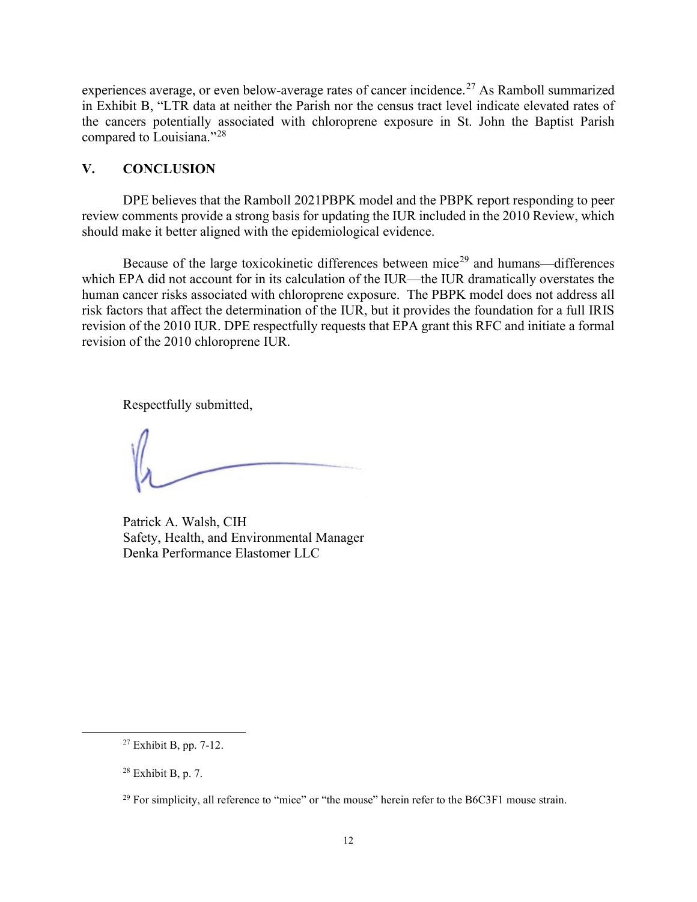experiences average, or even below-average rates of cancer incidence.<sup>[27](#page-11-0)</sup> As Ramboll summarized in Exhibit B, "LTR data at neither the Parish nor the census tract level indicate elevated rates of the cancers potentially associated with chloroprene exposure in St. John the Baptist Parish compared to Louisiana."[28](#page-11-1) 

## **V. CONCLUSION**

DPE believes that the Ramboll 2021PBPK model and the PBPK report responding to peer review comments provide a strong basis for updating the IUR included in the 2010 Review, which should make it better aligned with the epidemiological evidence.

Because of the large toxicokinetic differences between mice<sup>[29](#page-11-2)</sup> and humans—differences which EPA did not account for in its calculation of the IUR—the IUR dramatically overstates the human cancer risks associated with chloroprene exposure. The PBPK model does not address all risk factors that affect the determination of the IUR, but it provides the foundation for a full IRIS revision of the 2010 IUR. DPE respectfully requests that EPA grant this RFC and initiate a formal revision of the 2010 chloroprene IUR.

Respectfully submitted,

Patrick A. Walsh, CIH Safety, Health, and Environmental Manager Denka Performance Elastomer LLC

<span id="page-11-0"></span><sup>27</sup> Exhibit B, pp. 7-12.

<span id="page-11-1"></span> $28$  Exhibit B, p. 7.

<span id="page-11-2"></span><sup>&</sup>lt;sup>29</sup> For simplicity, all reference to "mice" or "the mouse" herein refer to the B6C3F1 mouse strain.